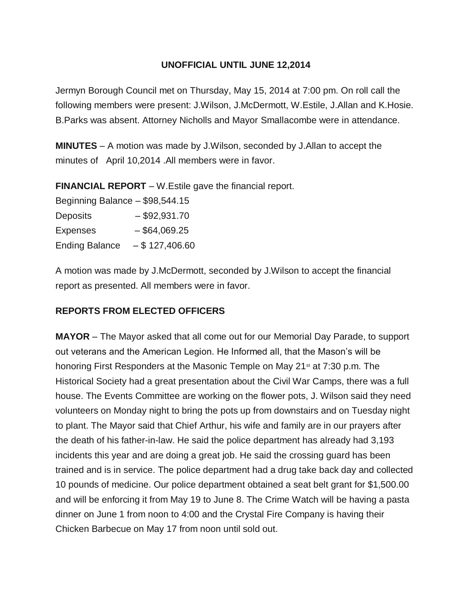## **UNOFFICIAL UNTIL JUNE 12,2014**

Jermyn Borough Council met on Thursday, May 15, 2014 at 7:00 pm. On roll call the following members were present: J.Wilson, J.McDermott, W.Estile, J.Allan and K.Hosie. B.Parks was absent. Attorney Nicholls and Mayor Smallacombe were in attendance.

**MINUTES** – A motion was made by J.Wilson, seconded by J.Allan to accept the minutes of April 10,2014 .All members were in favor.

**FINANCIAL REPORT** – W.Estile gave the financial report.

| Beginning Balance - \$98,544.15 |                  |
|---------------------------------|------------------|
| <b>Deposits</b>                 | $-$ \$92,931.70  |
| <b>Expenses</b>                 | $-$ \$64,069.25  |
| <b>Ending Balance</b>           | $-$ \$127,406.60 |

A motion was made by J.McDermott, seconded by J.Wilson to accept the financial report as presented. All members were in favor.

## **REPORTS FROM ELECTED OFFICERS**

**MAYOR** – The Mayor asked that all come out for our Memorial Day Parade, to support out veterans and the American Legion. He Informed all, that the Mason's will be honoring First Responders at the Masonic Temple on May 21<sup>st</sup> at 7:30 p.m. The Historical Society had a great presentation about the Civil War Camps, there was a full house. The Events Committee are working on the flower pots, J. Wilson said they need volunteers on Monday night to bring the pots up from downstairs and on Tuesday night to plant. The Mayor said that Chief Arthur, his wife and family are in our prayers after the death of his father-in-law. He said the police department has already had 3,193 incidents this year and are doing a great job. He said the crossing guard has been trained and is in service. The police department had a drug take back day and collected 10 pounds of medicine. Our police department obtained a seat belt grant for \$1,500.00 and will be enforcing it from May 19 to June 8. The Crime Watch will be having a pasta dinner on June 1 from noon to 4:00 and the Crystal Fire Company is having their Chicken Barbecue on May 17 from noon until sold out.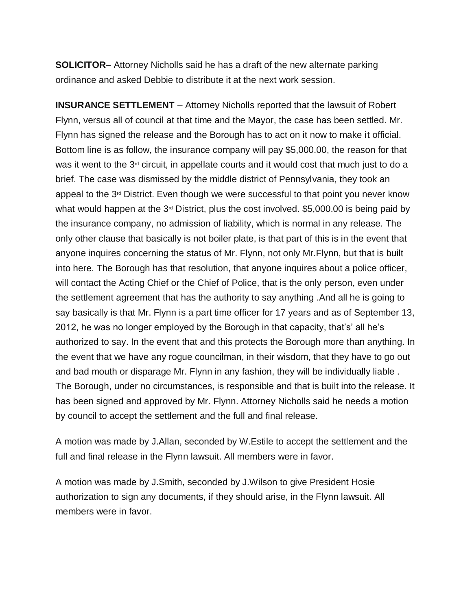**SOLICITOR**– Attorney Nicholls said he has a draft of the new alternate parking ordinance and asked Debbie to distribute it at the next work session.

**INSURANCE SETTLEMENT** – Attorney Nicholls reported that the lawsuit of Robert Flynn, versus all of council at that time and the Mayor, the case has been settled. Mr. Flynn has signed the release and the Borough has to act on it now to make it official. Bottom line is as follow, the insurance company will pay \$5,000.00, the reason for that was it went to the  $3<sup>d</sup>$  circuit, in appellate courts and it would cost that much just to do a brief. The case was dismissed by the middle district of Pennsylvania, they took an appeal to the  $3<sup>d</sup>$  District. Even though we were successful to that point you never know what would happen at the  $3<sup>d</sup>$  District, plus the cost involved. \$5,000.00 is being paid by the insurance company, no admission of liability, which is normal in any release. The only other clause that basically is not boiler plate, is that part of this is in the event that anyone inquires concerning the status of Mr. Flynn, not only Mr.Flynn, but that is built into here. The Borough has that resolution, that anyone inquires about a police officer, will contact the Acting Chief or the Chief of Police, that is the only person, even under the settlement agreement that has the authority to say anything .And all he is going to say basically is that Mr. Flynn is a part time officer for 17 years and as of September 13, 2012, he was no longer employed by the Borough in that capacity, that's' all he's authorized to say. In the event that and this protects the Borough more than anything. In the event that we have any rogue councilman, in their wisdom, that they have to go out and bad mouth or disparage Mr. Flynn in any fashion, they will be individually liable . The Borough, under no circumstances, is responsible and that is built into the release. It has been signed and approved by Mr. Flynn. Attorney Nicholls said he needs a motion by council to accept the settlement and the full and final release.

A motion was made by J.Allan, seconded by W.Estile to accept the settlement and the full and final release in the Flynn lawsuit. All members were in favor.

A motion was made by J.Smith, seconded by J.Wilson to give President Hosie authorization to sign any documents, if they should arise, in the Flynn lawsuit. All members were in favor.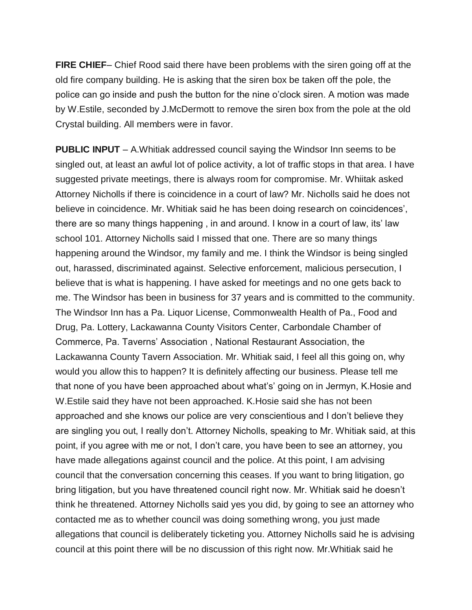**FIRE CHIEF**– Chief Rood said there have been problems with the siren going off at the old fire company building. He is asking that the siren box be taken off the pole, the police can go inside and push the button for the nine o'clock siren. A motion was made by W.Estile, seconded by J.McDermott to remove the siren box from the pole at the old Crystal building. All members were in favor.

**PUBLIC INPUT** – A.Whitiak addressed council saying the Windsor Inn seems to be singled out, at least an awful lot of police activity, a lot of traffic stops in that area. I have suggested private meetings, there is always room for compromise. Mr. Whiitak asked Attorney Nicholls if there is coincidence in a court of law? Mr. Nicholls said he does not believe in coincidence. Mr. Whitiak said he has been doing research on coincidences', there are so many things happening , in and around. I know in a court of law, its' law school 101. Attorney Nicholls said I missed that one. There are so many things happening around the Windsor, my family and me. I think the Windsor is being singled out, harassed, discriminated against. Selective enforcement, malicious persecution, I believe that is what is happening. I have asked for meetings and no one gets back to me. The Windsor has been in business for 37 years and is committed to the community. The Windsor Inn has a Pa. Liquor License, Commonwealth Health of Pa., Food and Drug, Pa. Lottery, Lackawanna County Visitors Center, Carbondale Chamber of Commerce, Pa. Taverns' Association , National Restaurant Association, the Lackawanna County Tavern Association. Mr. Whitiak said, I feel all this going on, why would you allow this to happen? It is definitely affecting our business. Please tell me that none of you have been approached about what's' going on in Jermyn, K.Hosie and W.Estile said they have not been approached. K.Hosie said she has not been approached and she knows our police are very conscientious and I don't believe they are singling you out, I really don't. Attorney Nicholls, speaking to Mr. Whitiak said, at this point, if you agree with me or not, I don't care, you have been to see an attorney, you have made allegations against council and the police. At this point, I am advising council that the conversation concerning this ceases. If you want to bring litigation, go bring litigation, but you have threatened council right now. Mr. Whitiak said he doesn't think he threatened. Attorney Nicholls said yes you did, by going to see an attorney who contacted me as to whether council was doing something wrong, you just made allegations that council is deliberately ticketing you. Attorney Nicholls said he is advising council at this point there will be no discussion of this right now. Mr.Whitiak said he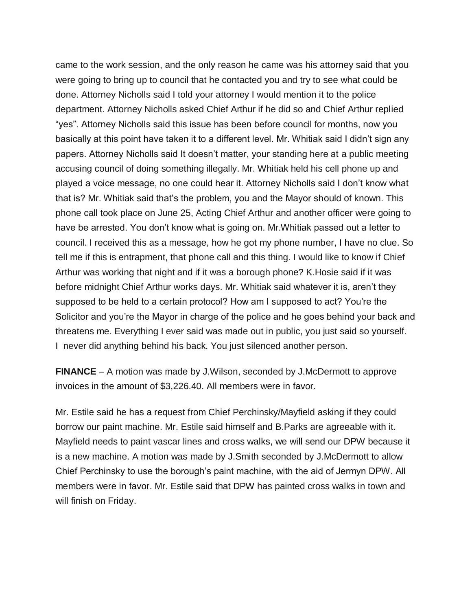came to the work session, and the only reason he came was his attorney said that you were going to bring up to council that he contacted you and try to see what could be done. Attorney Nicholls said I told your attorney I would mention it to the police department. Attorney Nicholls asked Chief Arthur if he did so and Chief Arthur replied "yes". Attorney Nicholls said this issue has been before council for months, now you basically at this point have taken it to a different level. Mr. Whitiak said I didn't sign any papers. Attorney Nicholls said It doesn't matter, your standing here at a public meeting accusing council of doing something illegally. Mr. Whitiak held his cell phone up and played a voice message, no one could hear it. Attorney Nicholls said I don't know what that is? Mr. Whitiak said that's the problem, you and the Mayor should of known. This phone call took place on June 25, Acting Chief Arthur and another officer were going to have be arrested. You don't know what is going on. Mr.Whitiak passed out a letter to council. I received this as a message, how he got my phone number, I have no clue. So tell me if this is entrapment, that phone call and this thing. I would like to know if Chief Arthur was working that night and if it was a borough phone? K.Hosie said if it was before midnight Chief Arthur works days. Mr. Whitiak said whatever it is, aren't they supposed to be held to a certain protocol? How am I supposed to act? You're the Solicitor and you're the Mayor in charge of the police and he goes behind your back and threatens me. Everything I ever said was made out in public, you just said so yourself. I never did anything behind his back. You just silenced another person.

**FINANCE** – A motion was made by J.Wilson, seconded by J.McDermott to approve invoices in the amount of \$3,226.40. All members were in favor.

Mr. Estile said he has a request from Chief Perchinsky/Mayfield asking if they could borrow our paint machine. Mr. Estile said himself and B.Parks are agreeable with it. Mayfield needs to paint vascar lines and cross walks, we will send our DPW because it is a new machine. A motion was made by J.Smith seconded by J.McDermott to allow Chief Perchinsky to use the borough's paint machine, with the aid of Jermyn DPW. All members were in favor. Mr. Estile said that DPW has painted cross walks in town and will finish on Friday.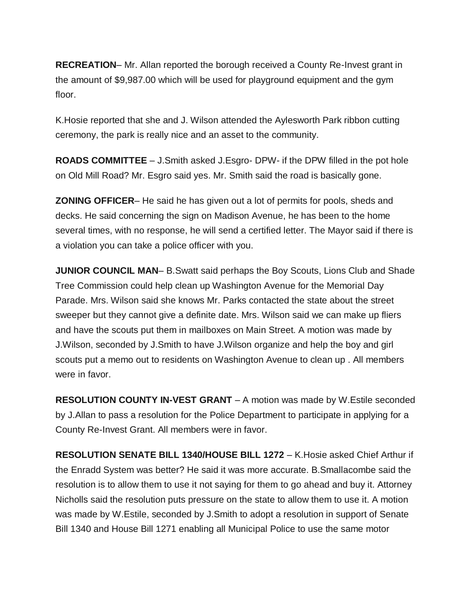**RECREATION**– Mr. Allan reported the borough received a County Re-Invest grant in the amount of \$9,987.00 which will be used for playground equipment and the gym floor.

K.Hosie reported that she and J. Wilson attended the Aylesworth Park ribbon cutting ceremony, the park is really nice and an asset to the community.

**ROADS COMMITTEE** – J.Smith asked J.Esgro- DPW- if the DPW filled in the pot hole on Old Mill Road? Mr. Esgro said yes. Mr. Smith said the road is basically gone.

**ZONING OFFICER**– He said he has given out a lot of permits for pools, sheds and decks. He said concerning the sign on Madison Avenue, he has been to the home several times, with no response, he will send a certified letter. The Mayor said if there is a violation you can take a police officer with you.

**JUNIOR COUNCIL MAN**– B. Swatt said perhaps the Boy Scouts, Lions Club and Shade Tree Commission could help clean up Washington Avenue for the Memorial Day Parade. Mrs. Wilson said she knows Mr. Parks contacted the state about the street sweeper but they cannot give a definite date. Mrs. Wilson said we can make up fliers and have the scouts put them in mailboxes on Main Street. A motion was made by J.Wilson, seconded by J.Smith to have J.Wilson organize and help the boy and girl scouts put a memo out to residents on Washington Avenue to clean up . All members were in favor.

**RESOLUTION COUNTY IN-VEST GRANT** – A motion was made by W.Estile seconded by J.Allan to pass a resolution for the Police Department to participate in applying for a County Re-Invest Grant. All members were in favor.

**RESOLUTION SENATE BILL 1340/HOUSE BILL 1272** – K.Hosie asked Chief Arthur if the Enradd System was better? He said it was more accurate. B.Smallacombe said the resolution is to allow them to use it not saying for them to go ahead and buy it. Attorney Nicholls said the resolution puts pressure on the state to allow them to use it. A motion was made by W.Estile, seconded by J.Smith to adopt a resolution in support of Senate Bill 1340 and House Bill 1271 enabling all Municipal Police to use the same motor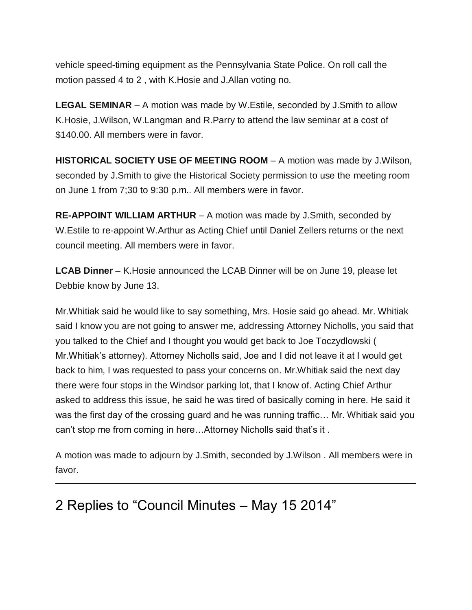vehicle speed-timing equipment as the Pennsylvania State Police. On roll call the motion passed 4 to 2 , with K.Hosie and J.Allan voting no.

**LEGAL SEMINAR** – A motion was made by W.Estile, seconded by J.Smith to allow K.Hosie, J.Wilson, W.Langman and R.Parry to attend the law seminar at a cost of \$140.00. All members were in favor.

**HISTORICAL SOCIETY USE OF MEETING ROOM** – A motion was made by J.Wilson, seconded by J.Smith to give the Historical Society permission to use the meeting room on June 1 from 7;30 to 9:30 p.m.. All members were in favor.

**RE-APPOINT WILLIAM ARTHUR** – A motion was made by J.Smith, seconded by W.Estile to re-appoint W.Arthur as Acting Chief until Daniel Zellers returns or the next council meeting. All members were in favor.

**LCAB Dinner** – K.Hosie announced the LCAB Dinner will be on June 19, please let Debbie know by June 13.

Mr.Whitiak said he would like to say something, Mrs. Hosie said go ahead. Mr. Whitiak said I know you are not going to answer me, addressing Attorney Nicholls, you said that you talked to the Chief and I thought you would get back to Joe Toczydlowski ( Mr.Whitiak's attorney). Attorney Nicholls said, Joe and I did not leave it at I would get back to him, I was requested to pass your concerns on. Mr.Whitiak said the next day there were four stops in the Windsor parking lot, that I know of. Acting Chief Arthur asked to address this issue, he said he was tired of basically coming in here. He said it was the first day of the crossing guard and he was running traffic… Mr. Whitiak said you can't stop me from coming in here…Attorney Nicholls said that's it .

A motion was made to adjourn by J.Smith, seconded by J.Wilson . All members were in favor.

# 2 Replies to "Council Minutes – May 15 2014"